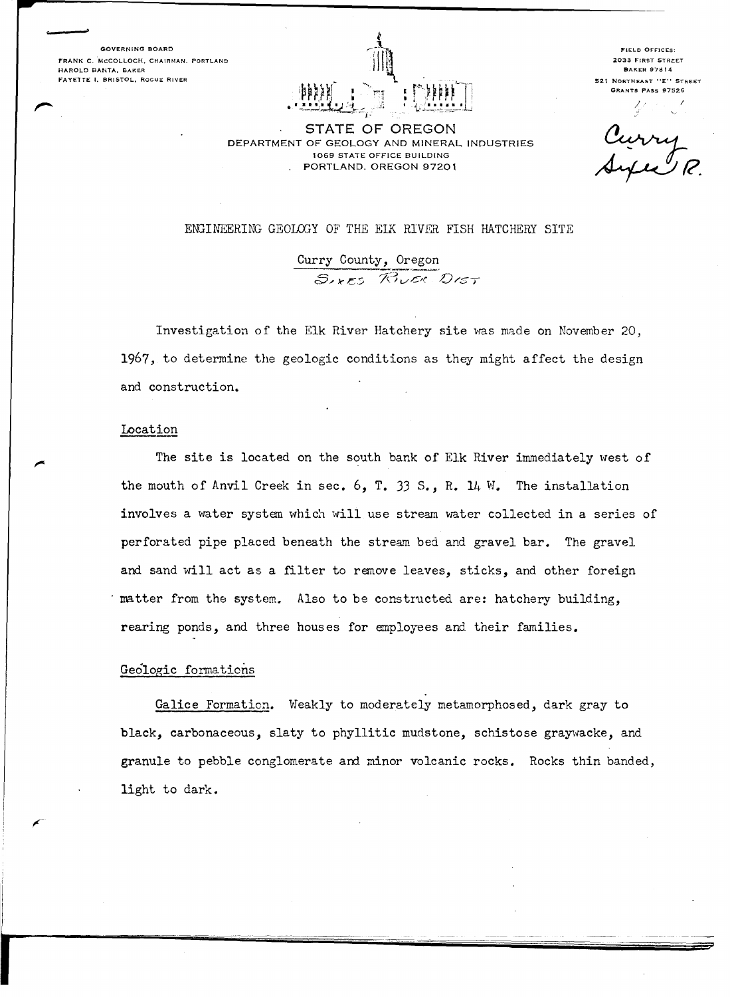**GOVERNING BOARD FRANK C. MCCOLLOCH. CHAIRMAN. PORTLAND HAROLD BANTA, BAKER FAYElTE I. BRISTOL, ROGUE RIVER** 



**FIELD OFFICES: 2033 FIRST STRi::ET BAKER 97814 521 NORTHEAST "E'' STREET GRANTS PASS 97526** 

STATE OF OREGON DEPARTMENT OF GEOLOGY AND MINERAL INDUSTRIES 1069 STATE OFFICE BUILDING PORTLAND. OREGON 97201

*J..* ,'

### ENGINEERING GEOLOGY OF THE EIK RIVER FISH HATCHERY SITE

Curry County, Oregon<br>  $S_{\ell k}$   $\epsilon_5$   $\mathcal{R}_{\ell}$   $\epsilon_6$   $\mathcal{D}_{\ell}$ 

Investigation of the Elk River Hatchery site was made on November 20, 1967, to determine the geologic conditions as they might affect the design and construction.

## Location

The site is located on the south bank of Elk River immediately west of the mouth of Anvil Creek in sec. 6, T. 33 *S.,* R. 14 W. The installation involves a water system which will use stream water collected in a series of perforated pipe placed beneath the stream bed and gravel bar. The gravel and sand will act as a filter to remove leaves, sticks, and other foreign matter from the system. Also to be constructed are: hatchery building, rearing ponds, and three houses for employees and their families.

# Geologic formations

Galice Formation. Weakly to moderately metamorphosed, dark gray to black, carbonaceous, slaty to phyllitic mudstone, schistose graywacke, and granule to pebble conglomerate and minor volcanic rocks. Rocks thin banded, light to dark.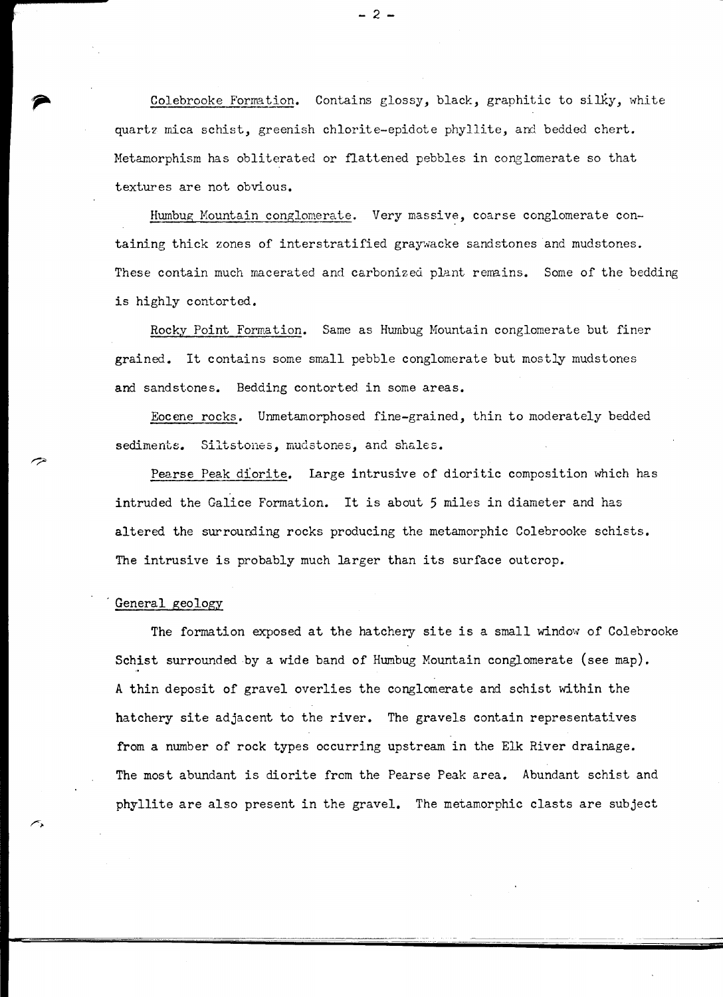Colebrooke Formation. Contains glossy, black, graphitic to silky, white quartz mica schist, greenish chlorite-epidote phyllite, and bedded chert. Metamorphism has obliterated or flattened pebbles in conglomerate so that textures are not obvious.

Hwnbug Mountain conglomerate. Very massive, coarse conglomerate containing thick zones of interstratified graywacke sandstones and mudstones. These contain much macerated and carbonized plant remains. Some of the bedding is highly contorted.

Rocky Point Formation. Same as Hurnbug Mountain conglomerate but finer grained. It contains some small pebble conglomerate but mostly mudstones **and** sandstones. Bedding contorted in some areas.

Eocene rocks. Unmetamorphosed fine-grained, thin to moderately bedded sediments. Siltstones, mudstones, and shales.

Pearse Peak diorite. large intrusive of dioritic composition which has intruded the Galice Formation. It is about 5 miles in diameter and has altered the surrourding rocks producing the metamorphic Colebrooke schists. The intrusive is probably much larger than its surface outcrop.

## General geology

The formation exposed at the hatchery site is a small window of Colebrooke Schist surrounded by a wide band of Humbug Mountain conglomerate (see map). A thin deposit of gravel overlies the conglomerate and schist within the hatchery site adjacent to the river. The gravels contain representatives from a number of rock types occurring upstream in the Elk River drainage. The most abundant is diorite from the Pearse Peak area. Abundant schist and phyllite are also present in the gravel. The metamorphic clasts are subject

- 2 -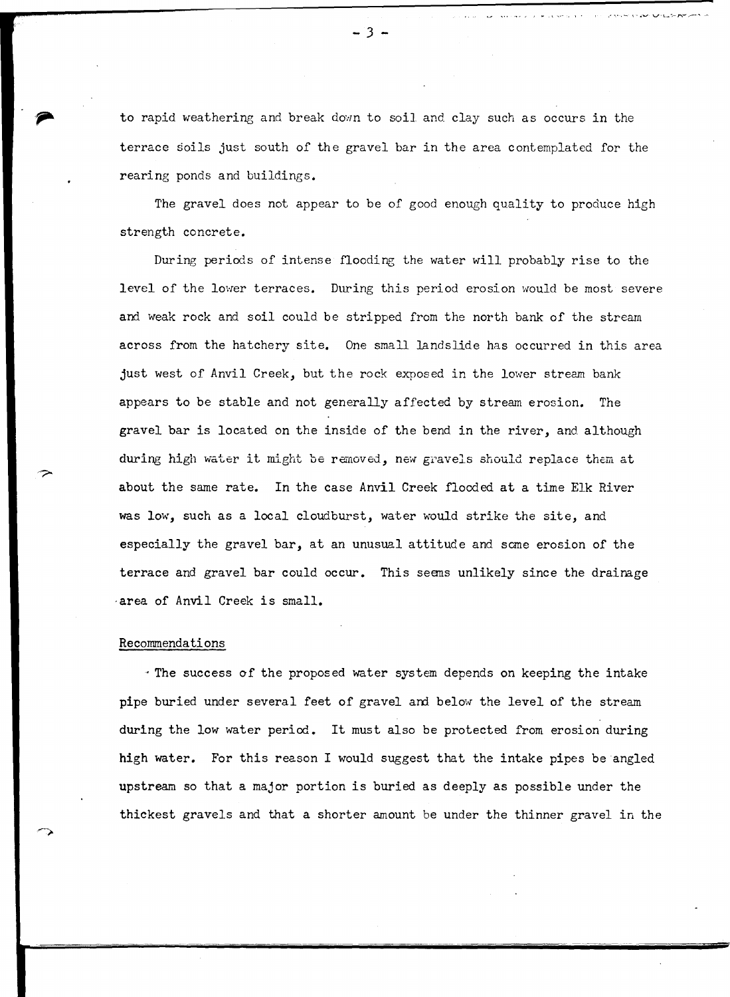to rapid weathering and break down to soil and clay such as occurs in the terrace soils just south of the gravel bar in the area contemplated for the rearing ponds and buildings.

The gravel does not appear to be of good enough quality to produce high strength concrete.

During periods of intense flooding the water will probably rise to the level of the lower terraces. During this period erosion would be most severe and weak rock and soil could be stripped from the north bank of the stream across from the hatchery site. One small landslide has occurred in this area just west of Anvil Creek, but the rock exposed in the lower stream bank appears to be stable and not generally affected by stream erosion. The gravel bar is located on the inside of the bend in the river, and although during high water it might be removed, new gravels should replace them at about the same rate. In the case Anvil Creek flooded at a time Elk River was low, such as a local cloudburst, water would strike the site, and especially the gravel bar, at an unusual attitude and sane erosion of the terrace and gravel bar could occur. This seens unlikely since the draimge -area of Anvil Creek is small.

### Recommendations

, The success of the proposed water system depends on keeping the intake pipe buried under several feet of gravel and below the level of the stream during the low water period. It must also be protected from erosion during high water. For this reason I would suggest that the intake pipes be angled upstream so that a major portion is buried as deeply as possible under the thickest gravels and that a shorter amount be under the thinner gravel in the

 $\overline{3}$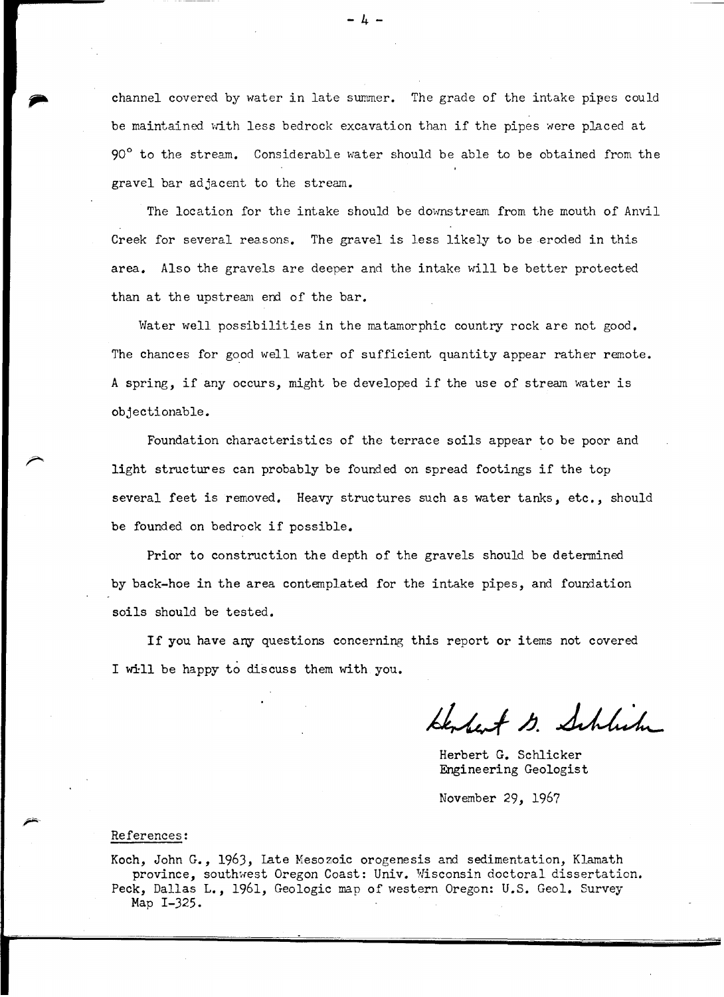channel covered by water in late summer. The grade of the intake pipes could be maintained with less bedrock excavation than if the pipes were placed at 90° to the stream. Considerable water should be able to be obtained from the gravel bar adjacent to the stream.

The location for the intake should be downstream from the mouth of Anvil Creek for several reasons. The gravel is less likely to be eroded in this area. Also the gravels are deeper and the intake will be better protected than at the upstream end of the bar.

Water well possibilities in the matamorphic country rock are not good. The chances for good well water of sufficient quantity appear rather remote. A spring, if any occurs, might be developed if the use of stream water is objectionable.

Foundation characteristics of the terrace soils appear to be poor and light structures can probably be founded on spread footings if the top several feet is removed. Heavy structures such as water tanks, etc., should be founded on bedrock if possible.

Prior to construction the depth of the gravels should be determined by back-hoe in the area contemplated for the intake pipes, and foundation soils should be tested.

If you have any questions concerning this report or items not covered I will be happy to discuss them with you.

Kenhert 13. Schlich

Herbert G. Schlicker Engineering Geologist

November 29, 1967

#### References:

Koch, John G., 1963, late Mesozoic orogenesis and sedimentation, Klamath province, southwest Oregon Coast: Univ. Wisconsin doctoral dissertation. Peck, Dallas L., 1961, Geologic map of western Oregon: U.S. Geol. Survey Map I-325.

- 4 -